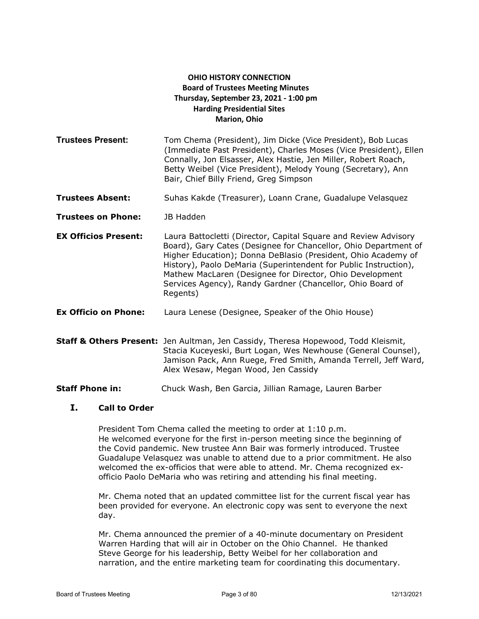# **OHIO HISTORY CONNECTION Board of Trustees Meeting Minutes Thursday, September 23, 2021 - 1:00 pm Harding Presidential Sites Marion, Ohio**

**Trustees Present:** Tom Chema (President), Jim Dicke (Vice President), Bob Lucas (Immediate Past President), Charles Moses (Vice President), Ellen Connally, Jon Elsasser, Alex Hastie, Jen Miller, Robert Roach, Betty Weibel (Vice President), Melody Young (Secretary), Ann Bair, Chief Billy Friend, Greg Simpson

**Trustees Absent:** Suhas Kakde (Treasurer), Loann Crane, Guadalupe Velasquez

**Trustees on Phone:** JB Hadden

- **EX Officios Present:** Laura Battocletti (Director, Capital Square and Review Advisory Board), Gary Cates (Designee for Chancellor, Ohio Department of Higher Education); Donna DeBlasio (President, Ohio Academy of History), Paolo DeMaria (Superintendent for Public Instruction), Mathew MacLaren (Designee for Director, Ohio Development Services Agency), Randy Gardner (Chancellor, Ohio Board of Regents)
- **Ex Officio on Phone:** Laura Lenese (Designee, Speaker of the Ohio House)

**Staff & Others Present:** Jen Aultman, Jen Cassidy, Theresa Hopewood, Todd Kleismit, Stacia Kuceyeski, Burt Logan, Wes Newhouse (General Counsel), Jamison Pack, Ann Ruege, Fred Smith, Amanda Terrell, Jeff Ward, Alex Wesaw, Megan Wood, Jen Cassidy

**Staff Phone in:** Chuck Wash, Ben Garcia, Jillian Ramage, Lauren Barber

## **I. Call to Order**

President Tom Chema called the meeting to order at 1:10 p.m. He welcomed everyone for the first in-person meeting since the beginning of the Covid pandemic. New trustee Ann Bair was formerly introduced. Trustee Guadalupe Velasquez was unable to attend due to a prior commitment. He also welcomed the ex-officios that were able to attend. Mr. Chema recognized exofficio Paolo DeMaria who was retiring and attending his final meeting.

Mr. Chema noted that an updated committee list for the current fiscal year has been provided for everyone. An electronic copy was sent to everyone the next day.

Mr. Chema announced the premier of a 40-minute documentary on President Warren Harding that will air in October on the Ohio Channel. He thanked Steve George for his leadership, Betty Weibel for her collaboration and narration, and the entire marketing team for coordinating this documentary.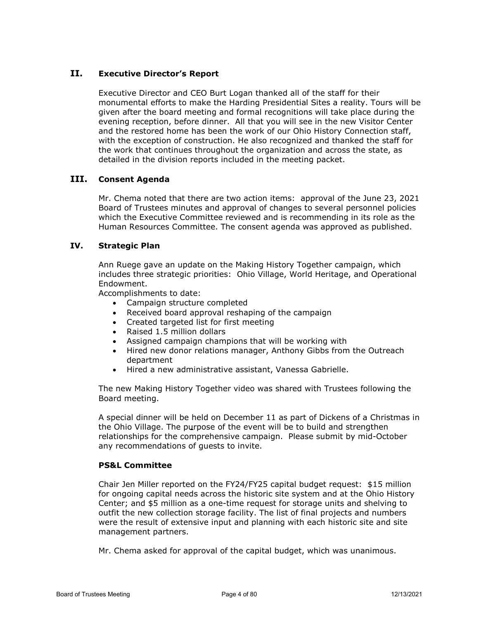# **II. Executive Director's Report**

Executive Director and CEO Burt Logan thanked all of the staff for their monumental efforts to make the Harding Presidential Sites a reality. Tours will be given after the board meeting and formal recognitions will take place during the evening reception, before dinner. All that you will see in the new Visitor Center and the restored home has been the work of our Ohio History Connection staff, with the exception of construction. He also recognized and thanked the staff for the work that continues throughout the organization and across the state, as detailed in the division reports included in the meeting packet.

# **III. Consent Agenda**

Mr. Chema noted that there are two action items: approval of the June 23, 2021 Board of Trustees minutes and approval of changes to several personnel policies which the Executive Committee reviewed and is recommending in its role as the Human Resources Committee. The consent agenda was approved as published.

## **IV. Strategic Plan**

Ann Ruege gave an update on the Making History Together campaign, which includes three strategic priorities: Ohio Village, World Heritage, and Operational Endowment.

Accomplishments to date:

- Campaign structure completed
- Received board approval reshaping of the campaign
- Created targeted list for first meeting
- Raised 1.5 million dollars
- Assigned campaign champions that will be working with
- Hired new donor relations manager, Anthony Gibbs from the Outreach department
- Hired a new administrative assistant, Vanessa Gabrielle.

The new Making History Together video was shared with Trustees following the Board meeting.

A special dinner will be held on December 11 as part of Dickens of a Christmas in the Ohio Village. The purpose of the event will be to build and strengthen relationships for the comprehensive campaign. Please submit by mid-October any recommendations of guests to invite.

#### **PS&L Committee**

Chair Jen Miller reported on the FY24/FY25 capital budget request: \$15 million for ongoing capital needs across the historic site system and at the Ohio History Center; and \$5 million as a one-time request for storage units and shelving to outfit the new collection storage facility. The list of final projects and numbers were the result of extensive input and planning with each historic site and site management partners.

Mr. Chema asked for approval of the capital budget, which was unanimous.